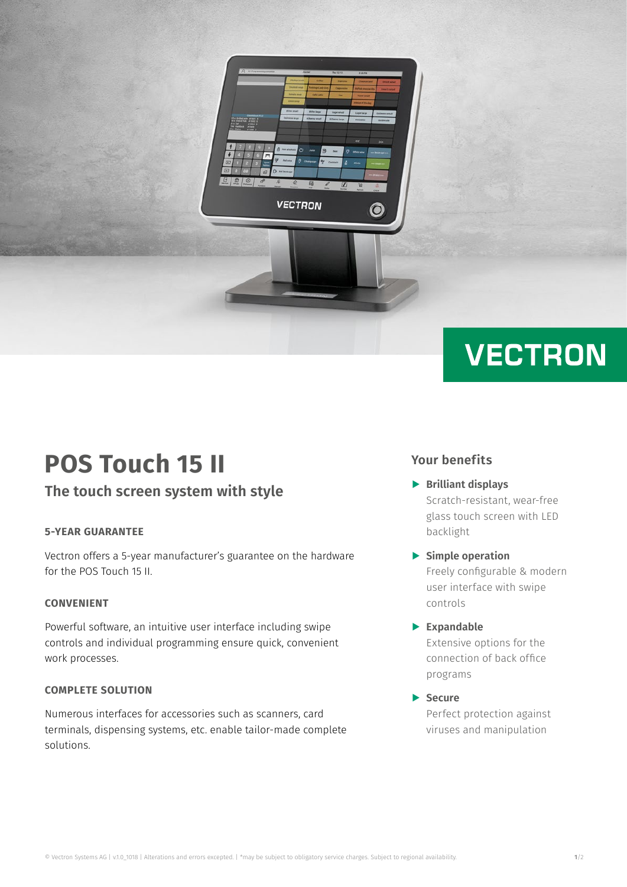

# **VECTRON**

## **POS Touch 15 II**

### **The touch screen system with style**

### **5-YEAR GUARANTEE**

Vectron offers a 5-year manufacturer's guarantee on the hardware for the POS Touch 15 II.

#### **CONVENIENT**

Powerful software, an intuitive user interface including swipe controls and individual programming ensure quick, convenient work processes.

### **COMPLETE SOLUTION**

Numerous interfaces for accessories such as scanners, card terminals, dispensing systems, etc. enable tailor-made complete solutions.

### **Your benefits**

- A **Brilliant displays** Scratch-resistant, wear-free glass touch screen with LED backlight
- A **Simple operation** Freely configurable & modern user interface with swipe controls
- A **Expandable** Extensive options for the connection of back office programs
- A **Secure** Perfect protection against viruses and manipulation